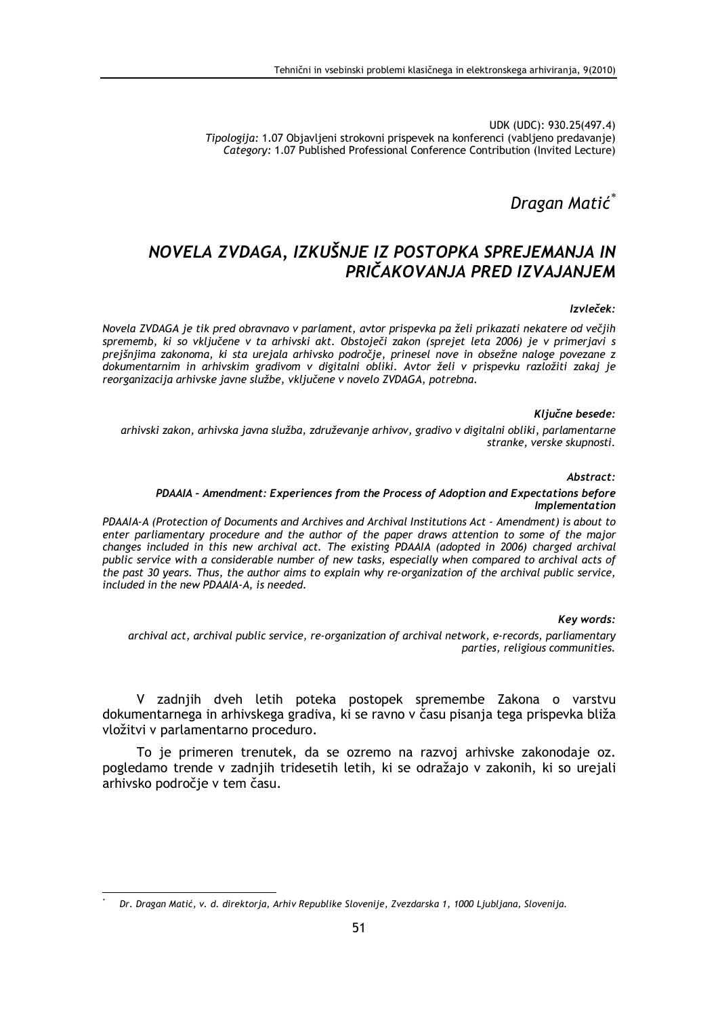UDK (UDC): 930.25(497.4) Tipologija: 1.07 Objavljeni strokovni prispevek na konferenci (vabljeno predavanje) Category: 1.07 Published Professional Conference Contribution (Invited Lecture)

Dragan Matić\*

# NOVELA ZVDAGA, IZKUŠNJE IZ POSTOPKA SPREJEMANJA IN PRIČAKOVANJA PRED IZVAJANJEM

### Izvleček:

Novela ZVDAGA je tik pred obravnavo v parlament, avtor prispevka pa želi prikazati nekatere od večijh sprememb, ki so vključene v ta arhivski akt. Obstoječi zakon (sprejet leta 2006) je v primerjavi s prejšnjima zakonoma, ki sta urejala arhivsko področje, prinesel nove in obsežne naloge povezane z dokumentarnim in arhivskim gradivom v digitalni obliki. Avtor želi v prispevku razložiti zakaj je reorganizacija arhivske javne službe, vključene v novelo ZVDAGA, potrebna.

#### Kliučne besede:

arhivski zakon, arhivska javna služba, združevanje arhivov, gradivo v digitalni obliki, parlamentarne stranke, verske skupnosti.

#### Abstract:

#### PDAAIA - Amendment: Experiences from the Process of Adoption and Expectations before Implementation

PDAAIA-A (Protection of Documents and Archives and Archival Institutions Act - Amendment) is about to enter parliamentary procedure and the author of the paper draws attention to some of the major changes included in this new archival act. The existing PDAAIA (adopted in 2006) charged archival public service with a considerable number of new tasks, especially when compared to archival acts of the past 30 years. Thus, the author aims to explain why re-organization of the archival public service, included in the new PDAAIA-A, is needed.

#### Key words:

archival act, archival public service, re-organization of archival network, e-records, parliamentary parties, religious communities.

V zadnjih dveh letih poteka postopek spremembe Zakona o varstvu dokumentarnega in arhivskega gradiva, ki se ravno v času pisanja tega prispevka bliža vložitvi v parlamentarno proceduro.

To je primeren trenutek, da se ozremo na razvoj arhivske zakonodaje oz. pogledamo trende v zadnjih tridesetih letih, ki se odražajo v zakonih, ki so urejali arhivsko področie v tem času.

Dr. Dragan Matić, v. d. direktorja, Arhiv Republike Slovenije, Zvezdarska 1, 1000 Ljubljana, Slovenija.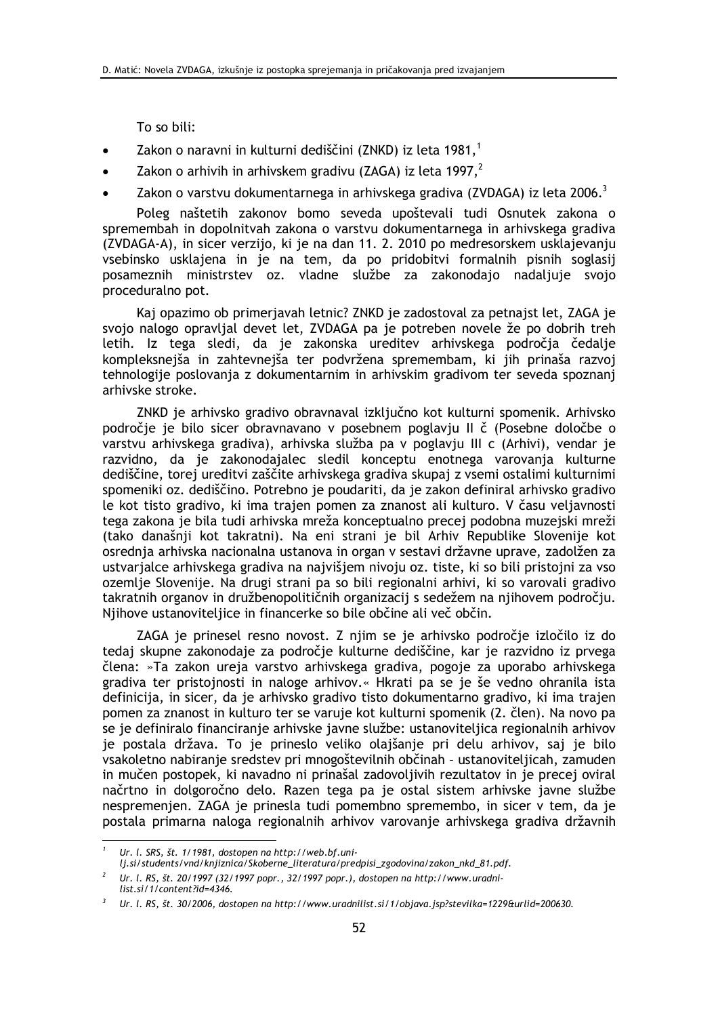To so bili:

- Zakon o naravni in kulturni dediščini (ZNKD) iz leta 1981,<sup>1</sup>
- Zakon o arhivih in arhivskem gradivu (ZAGA) iz leta 1997, $^2$
- Zakon o varstvu dokumentarnega in arhivskega gradiva (ZVDAGA) iz leta 2006.<sup>3</sup>

Poleg naštetih zakonov bomo seveda upoštevali tudi Osnutek zakona o spremembah in dopolnitvah zakona o varstvu dokumentarnega in arhivskega gradiva (ZVDAGA-A), in sicer verzijo, ki je na dan 11. 2. 2010 po medresorskem usklajevanju vsebinsko usklajena in je na tem, da po pridobitvi formalnih pisnih soglasij posameznih ministrstev oz. vladne službe za zakonodajo nadaljuje svojo proceduralno pot.

Kaj opazimo ob primerjavah letnic? ZNKD je zadostoval za petnajst let, ZAGA je svojo nalogo opravljal devet let, ZVDAGA pa je potreben novele že po dobrih treh letih. Iz tega sledi, da je zakonska ureditev arhivskega področja čedalje kompleksnejša in zahtevnejša ter podvržena spremembam, ki jih prinaša razvoj tehnologije poslovanja z dokumentarnim in arhivskim gradivom ter seveda spoznanj arhivske stroke.

ZNKD je arhivsko gradivo obravnaval izključno kot kulturni spomenik. Arhivsko področje je bilo sicer obravnavano v posebnem poglavju II č (Posebne določbe o varstvu arhivskega gradiva), arhivska služba pa v poglaviu III c (Arhivi), vendar je razvidno, da je zakonodajalec sledil konceptu enotnega varovanja kulturne dediščine, torej ureditvi zaščite arhivskega gradiva skupaj z vsemi ostalimi kulturnimi spomeniki oz. dediščino. Potrebno je poudariti, da je zakon definiral arhivsko gradivo le kot tisto gradivo, ki ima trajen pomen za znanost ali kulturo. V času veljavnosti tega zakona je bila tudi arhivska mreža konceptualno precej podobna muzejski mreži (tako današnii kot takratni). Na eni strani je bil Arhiv Republike Slovenije kot osrednia arhivska nacionalna ustanova in organ v sestavi državne uprave, zadolžen za ustvarjalce arhivskega gradiva na najvišjem nivoju oz. tiste, ki so bili pristojni za vso ozemlje Slovenije. Na drugi strani pa so bili regionalni arhivi, ki so varovali gradivo takratnih organov in družbenopolitičnih organizacij s sedežem na njihovem področju. Njihove ustanoviteljice in financerke so bile občine ali več občin.

ZAGA je prinesel resno novost. Z njim se je arhivsko področje izločilo iz do tedaj skupne zakonodaje za področje kulturne dediščine, kar je razvidno iz prvega člena: »Ta zakon ureja varstvo arhivskega gradiva, pogoje za uporabo arhivskega gradiva ter pristojnosti in naloge arhivov.« Hkrati pa se je še vedno ohranila ista definicija, in sicer, da je arhivsko gradivo tisto dokumentarno gradivo, ki ima trajen pomen za znanost in kulturo ter se varuje kot kulturni spomenik (2. člen). Na novo pa se je definiralo financiranje arhivske javne službe: ustanoviteljica regionalnih arhivov je postala država. To je prineslo veliko olajšanje pri delu arhivov, saj je bilo vsakoletno nabiranje sredstev pri mnogoštevilnih občinah - ustanoviteljicah, zamuden in mučen postopek, ki navadno ni prinašal zadovoljivih rezultatov in je precej oviral načrtno in dolgoročno delo. Razen tega pa je ostal sistem arhivske javne službe nespremenien. ZAGA je prinesla tudi pomembno spremembo, in sicer v tem, da je postala primarna naloga regionalnih arhivov varovanje arhivskega gradiva državnih

Ur. l. SRS, št. 1/1981, dostopen na http://web.bf.uni-

lj.si/students/vnd/knjiznica/Skoberne\_literatura/predpisi\_zgodovina/zakon\_nkd\_81.pdf.

Ur. l. RS, št. 20/1997 (32/1997 popr., 32/1997 popr.), dostopen na http://www.uradnilist.si/1/content?id=4346.

Ur. l. RS, št. 30/2006, dostopen na http://www.uradnilist.si/1/objava.jsp?stevilka=1229&urlid=200630.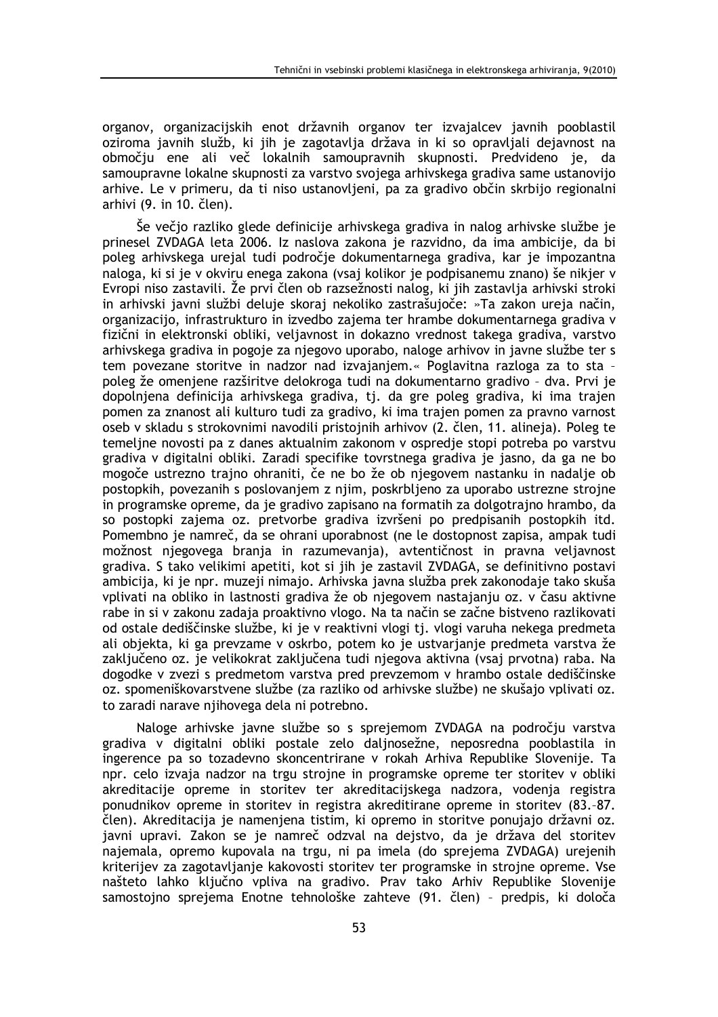organov, organizacijskih enot državnih organov ter izvajalcev javnih pooblastil oziroma javnih služb, ki jih je zagotavlja država in ki so opravljali dejavnost na območju ene ali več lokalnih samoupravnih skupnosti. Predvideno je, da samoupravne lokalne skupnosti za varstvo svojega arhivskega gradiva same ustanovijo arhive. Le v primeru, da ti niso ustanovljeni, pa za gradivo občin skrbijo regionalni arhivi (9. in 10. člen).

Še večjo razliko glede definicije arhivskega gradiva in nalog arhivske službe je prinesel ZVDAGA leta 2006. Iz naslova zakona je razvidno, da ima ambicije, da bi poleg arhivskega urejal tudi področje dokumentarnega gradiva, kar je impozantna naloga, ki si je v okviru enega zakona (vsaj kolikor je podpisanemu znano) še nikjer v Evropi niso zastavili. Že prvi člen ob razsežnosti nalog, ki jih zastavlja arhivski stroki in arhivski javni službi deluje skoraj nekoliko zastrašujoče: »Ta zakon ureja način, organizacijo, infrastrukturo in izvedbo zajema ter hrambe dokumentarnega gradiva v fizični in elektronski obliki, veljavnost in dokazno vrednost takega gradiva, varstvo arhivskega gradiva in pogoje za njegovo uporabo, naloge arhivov in javne službe ter s tem povezane storitve in nadzor nad izvajanjem.« Poglavitna razloga za to sta poleg že omenjene razširitve delokroga tudi na dokumentarno gradivo - dva. Prvi je dopolnjena definicija arhivskega gradiva, tj. da gre poleg gradiva, ki ima trajen pomen za znanost ali kulturo tudi za gradivo, ki ima trajen pomen za pravno varnost oseb v skladu s strokovnimi navodili pristojnih arhivov (2. člen. 11. alineja). Poleg te temeljne novosti pa z danes aktualnim zakonom v ospredje stopi potreba po varstvu gradiva y digitalni obliki. Zaradi specifike tovrstnega gradiva je jasno, da ga ne bo mogoče ustrezno trajno ohraniti, če ne bo že ob njegovem nastanku in nadalje ob postopkih, povezanih s poslovanjem z njim, poskrbljeno za uporabo ustrezne strojne in programske opreme, da je gradivo zapisano na formatih za dolgotrajno hrambo, da so postopki zajema oz. pretvorbe gradiva izvršeni po predpisanih postopkih itd. Pomembno je namreč, da se ohrani uporabnost (ne le dostopnost zapisa, ampak tudi možnost njegovega branja in razumevanja), avtentičnost in pravna veljavnost gradiva. S tako velikimi apetiti, kot si jih je zastavil ZVDAGA, se definitivno postavi ambicija, ki je npr. muzeji nimajo. Arhivska javna služba prek zakonodaje tako skuša vplivati na obliko in lastnosti gradiva že ob njegovem nastajanju oz. v času aktivne rabe in si v zakonu zadaja proaktivno vlogo. Na ta način se začne bistveno razlikovati od ostale dediščinske službe, ki je v reaktivni vlogi tj. vlogi varuha nekega predmeta ali objekta, ki ga prevzame v oskrbo, potem ko je ustvarjanje predmeta varstva že zaključeno oz. je velikokrat zaključena tudi njegova aktivna (vsaj prvotna) raba. Na dogodke v zvezi s predmetom varstva pred prevzemom v hrambo ostale dediščinske oz. spomeniškovarstvene službe (za razliko od arhivske službe) ne skušajo vplivati oz. to zaradi narave njihovega dela ni potrebno.

Naloge arhivske javne službe so s sprejemom ZVDAGA na področju varstva gradiva v digitalni obliki postale zelo daljnosežne, neposredna pooblastila in ingerence pa so tozadevno skoncentrirane v rokah Arhiva Republike Slovenije. Ta npr. celo izvaja nadzor na trgu strojne in programske opreme ter storitev v obliki akreditacije opreme in storitev ter akreditacijskega nadzora, vodenja registra ponudnikov opreme in storitev in registra akreditirane opreme in storitev (83.-87. člen). Akreditacija je namenjena tistim, ki opremo in storitve ponujajo državni oz. javni upravi. Zakon se je namreč odzval na dejstvo, da je država del storitev najemala, opremo kupovala na trgu, ni pa imela (do sprejema ZVDAGA) urejenih kriterijev za zagotavljanje kakovosti storitev ter programske in strojne opreme. Vse našteto lahko ključno vpliva na gradivo. Prav tako Arhiv Republike Slovenije samostojno sprejema Enotne tehnološke zahteve (91. člen) - predpis, ki določa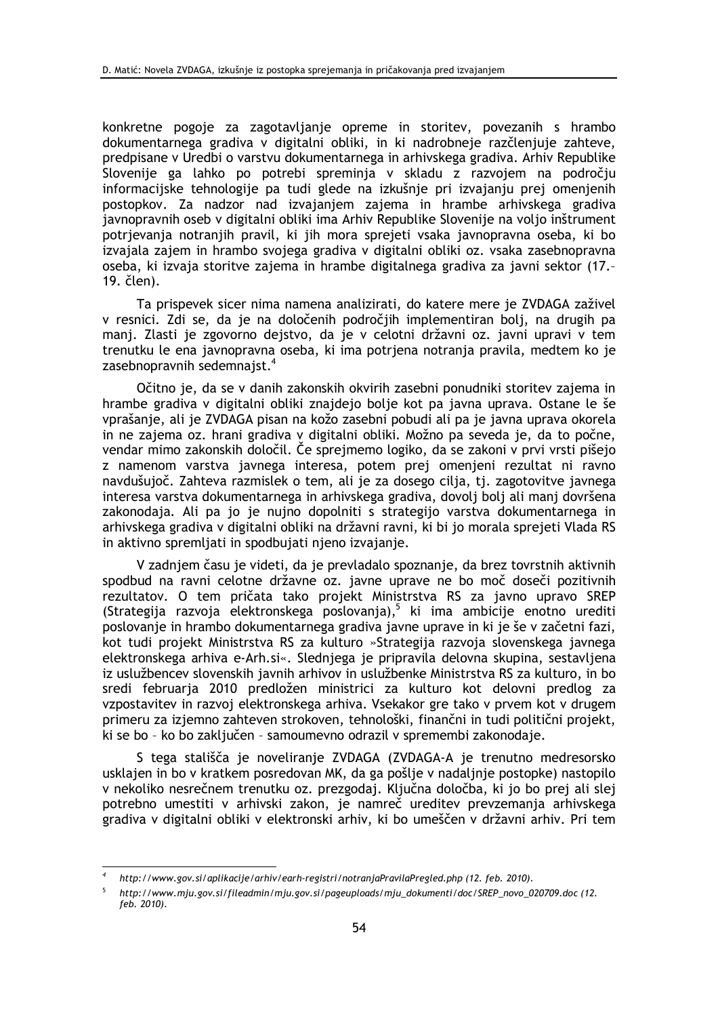konkretne pogoje za zagotavljanje opreme in storitev, povezanih s hrambo dokumentarnega gradiva v digitalni obliki, in ki nadrobneje razčlenjuje zahteve, predpisane v Uredbi o varstvu dokumentarnega in arhivskega gradiva. Arhiv Republike Slovenije ga lahko po potrebi spreminja v skladu z razvojem na področju informacijske tehnologije pa tudi glede na izkušnje pri izvajanju prej omenjenih postopkov. Za nadzor nad izvajanjem zajema in hrambe arhivskega gradiva javnopravnih oseb v digitalni obliki ima Arhiv Republike Slovenije na voljo inštrument potrjevanja notranjih pravil, ki jih mora sprejeti vsaka javnopravna oseba, ki bo izvajala zajem in hrambo svojega gradiva v digitalni obliki oz. vsaka zasebnopravna oseba, ki izvaja storitve zajema in hrambe digitalnega gradiva za javni sektor (17.-19. člen).

Ta prispevek sicer nima namena analizirati, do katere mere je ZVDAGA zaživel v resnici. Zdi se, da je na določenih področjih implementiran bolj, na drugih pa manj. Zlasti je zgovorno dejstvo, da je v celotni državni oz. javni upravi v tem trenutku le ena javnopravna oseba, ki ima potrjena notranja pravila, medtem ko je zasebnopravnih sedemnaist.<sup>4</sup>

Očitno je, da se v danih zakonskih okvirih zasebni ponudniki storitev zajema in hrambe gradiva v digitalni obliki znajdejo bolje kot pa javna uprava. Ostane le še vprašanje, ali je ZVDAGA pisan na kožo zasebni pobudi ali pa je javna uprava okorela in ne zajema oz. hrani gradiva v digitalni obliki. Možno pa seveda je, da to počne, vendar mimo zakonskih določil. Če sprejmemo logiko, da se zakoni v prvi vrsti pišejo z namenom varstva javnega interesa, potem prej omenjeni rezultat ni ravno navdušujoč. Zahteva razmislek o tem, ali je za dosego cilja, tj. zagotovitve javnega interesa varstva dokumentarnega in arhivskega gradiva, dovoli boli ali mani dovršena zakonodaja. Ali pa jo je nujno dopolniti s strategijo varstva dokumentarnega in arhivskega gradiva v digitalni obliki na državni ravni, ki bi jo morala sprejeti Vlada RS in aktivno spremljati in spodbujati njeno izvajanje.

V zadniem času je videti, da je prevladalo spoznanje, da brez tovrstnih aktivnih spodbud na ravni celotne državne oz. javne uprave ne bo moč doseči pozitivnih rezultatov. O tem pričata tako projekt Ministrstva RS za javno upravo SREP (Strategija razvoja elektronskega poslovanja),<sup>5</sup> ki ima ambicije enotno urediti poslovanje in hrambo dokumentarnega gradiva javne uprave in ki je še v začetni fazi, kot tudi projekt Ministrstva RS za kulturo »Strategija razvoja slovenskega javnega elektronskega arhiva e-Arh.si«. Slednjega je pripravila delovna skupina, sestavljena iz uslužbencev slovenskih javnih arhivov in uslužbenke Ministrstva RS za kulturo, in bo sredi februarja 2010 predložen ministrici za kulturo kot delovni predlog za vzpostavitev in razvoj elektronskega arhiva. Vsekakor gre tako v prvem kot v drugem primeru za izjemno zahteven strokoven, tehnološki, finančni in tudi politični projekt, ki se bo - ko bo zaključen - samoumevno odrazil v spremembi zakonodaje.

S tega stališča je noveliranje ZVDAGA (ZVDAGA-A je trenutno medresorsko usklajen in bo v kratkem posredovan MK, da ga pošlje v nadaljnje postopke) nastopilo v nekoliko nesrečnem trenutku oz. prezgodaj. Ključna določba, ki jo bo prej ali slej potrebno umestiti v arhivski zakon, je namreč ureditev prevzemanja arhivskega gradiva v digitalni obliki v elektronski arhiv, ki bo umeščen v državni arhiv. Pri tem

http://www.gov.si/aplikacije/arhiv/earh-registri/notranjaPravilaPregled.php (12. feb. 2010).

http://www.mju.gov.si/fileadmin/mju.gov.si/pageuploads/mju\_dokumenti/doc/SREP\_novo\_020709.doc (12. feb. 2010).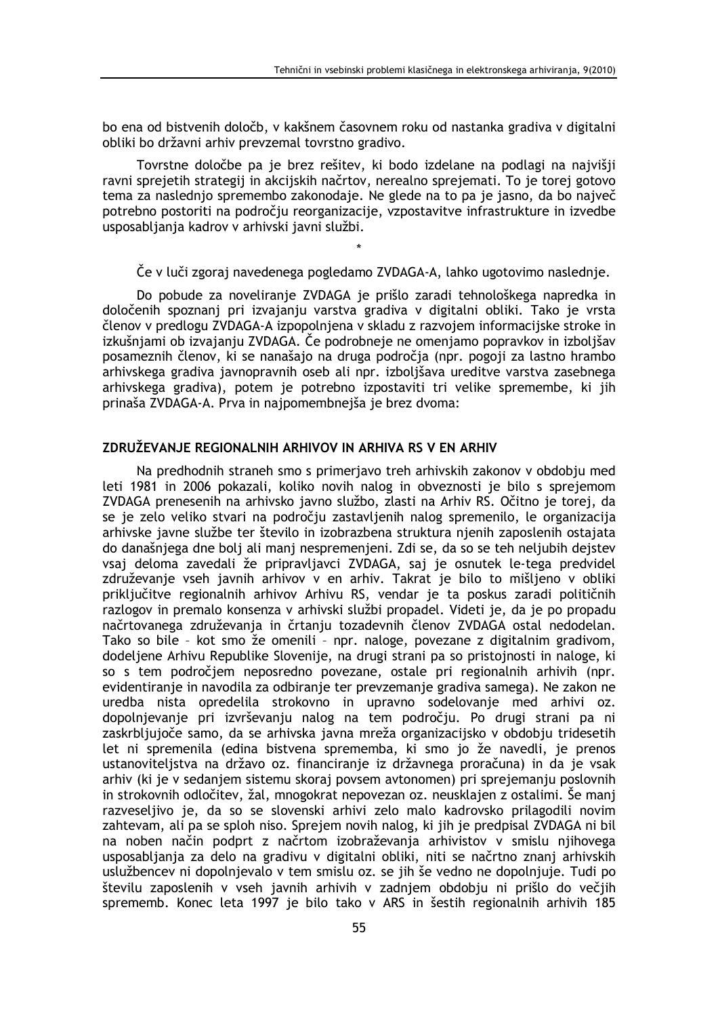bo ena od bistvenih določb, v kakšnem časovnem roku od nastanka gradiva v digitalni obliki bo državni arhiv prevzemal tovrstno gradivo.

Tovrstne določbe pa je brez rešitev, ki bodo izdelane na podlagi na najvišji ravni sprejetih strategij in akcijskih načrtov, nerealno sprejemati. To je torej gotovo tema za naslednjo spremembo zakonodaje. Ne glede na to pa je jasno, da bo največ potrebno postoriti na področju reorganizacije, vzpostavitve infrastrukture in izvedbe usposabljanja kadrov v arhivski javni službi.

# Če v luči zgoraj navedenega pogledamo ZVDAGA-A, lahko ugotovimo naslednje.

Do pobude za noveliranje ZVDAGA je prišlo zaradi tehnološkega napredka in določenih spoznanj pri izvajanju varstva gradiva v digitalni obliki. Tako je vrsta členov v predlogu ZVDAGA-A izpopolnjena v skladu z razvojem informacijske stroke in izkušnjami ob izvajanju ZVDAGA. Če podrobneje ne omenjamo popravkov in izboljšav posameznih členov, ki se nanašajo na druga področja (npr. pogoji za lastno hrambo arhivskega gradiva javnopravnih oseb ali npr. izboljšava ureditve varstva zasebnega arhivskega gradiva), potem je potrebno izpostaviti tri velike spremembe, ki jih prinaša ZVDAGA-A. Prva in najpomembnejša je brez dvoma:

# ZDRUŽEVANJE REGIONALNIH ARHIVOV IN ARHIVA RS V EN ARHIV

Na predhodnih straneh smo s primerjavo treh arhivskih zakonov v obdobju med leti 1981 in 2006 pokazali, koliko novih nalog in obveznosti je bilo s sprejemom ZVDAGA prenesenih na arhivsko javno službo, zlasti na Arhiv RS. Očitno je torej, da se je zelo veliko stvari na področju zastavljenih nalog spremenilo, le organizacija arhivske javne službe ter število in izobrazbena struktura njenih zaposlenih ostajata do današnjega dne bolj ali manj nespremenjeni. Zdi se, da so se teh neljubih dejstev vsaj deloma zavedali že pripravljavci ZVDAGA, saj je osnutek le-tega predvidel združevanje vseh javnih arhivov v en arhiv. Takrat je bilo to mišljeno v obliki priključitve regionalnih arhivov Arhivu RS, vendar je ta poskus zaradi političnih razlogov in premalo konsenza v arhivski službi propadel. Videti je, da je po propadu načrtovanega združevanja in črtanju tozadevnih členov ZVDAGA ostal nedodelan. Tako so bile - kot smo že omenili - npr. naloge, povezane z digitalnim gradivom, dodeljene Arhivu Republike Slovenije, na drugi strani pa so pristojnosti in naloge, ki so s tem področjem neposredno povezane, ostale pri regionalnih arhivih (npr. evidentiranje in navodila za odbiranje ter prevzemanje gradiva samega). Ne zakon ne uredba nista opredelila strokovno in upravno sodelovanje med arhivi oz. dopolnjevanje pri izvrševanju nalog na tem področju. Po drugi strani pa ni zaskrbljujoče samo, da se arhivska javna mreža organizacijsko v obdobju tridesetih let ni spremenila (edina bistvena sprememba, ki smo jo že navedli, je prenos ustanovitelistva na državo oz. financiranje iz državnega proračuna) in da je vsak arhiv (ki je v sedanjem sistemu skoraj povsem avtonomen) pri sprejemanju poslovnih in strokovnih odločitev, žal, mnogokrat nepovezan oz. neusklajen z ostalimi. Še manj razveseljivo je, da so se slovenski arhivi zelo malo kadrovsko prilagodili novim zahtevam, ali pa se sploh niso. Sprejem novih nalog, ki jih je predpisal ZVDAGA ni bil na noben način podprt z načrtom izobraževanja arhivistov v smislu njihovega usposabljanja za delo na gradivu v digitalni obliki, niti se načrtno znanj arhivskih uslužbencev ni dopolnjevalo v tem smislu oz. se jih še vedno ne dopolnjuje. Tudi po številu zaposlenih v vseh javnih arhivih v zadnjem obdobju ni prišlo do večjih sprememb. Konec leta 1997 je bilo tako v ARS in šestih regionalnih arhivih 185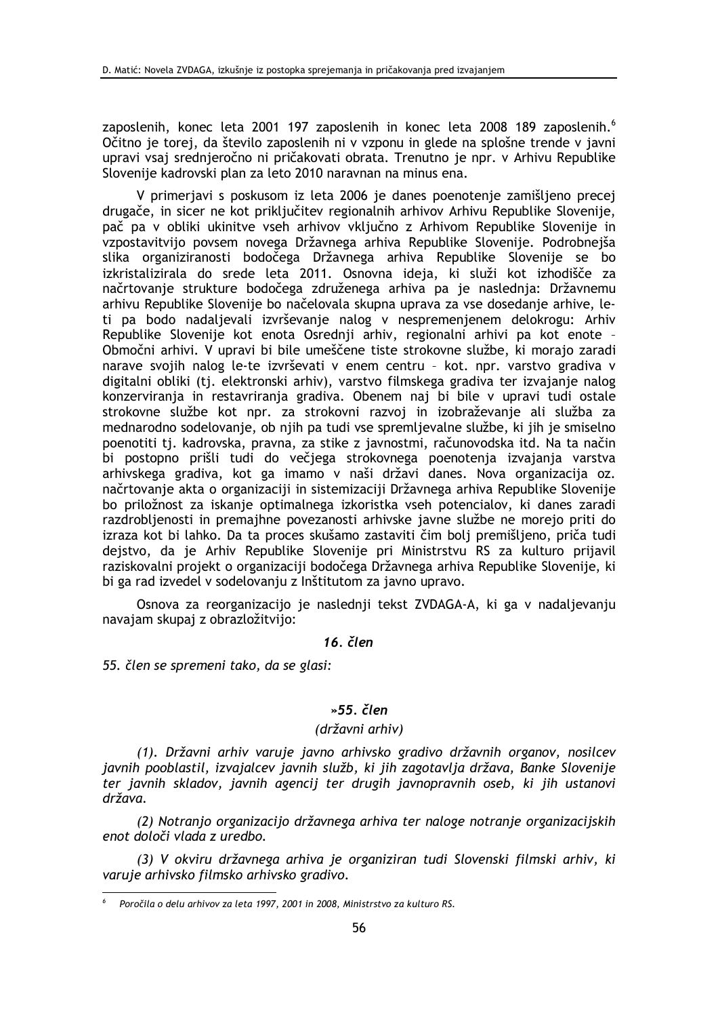zaposlenih, konec leta 2001 197 zaposlenih in konec leta 2008 189 zaposlenih.<sup>6</sup> Očitno je torej, da število zaposlenih ni v vzponu in glede na splošne trende v javni upravi vsaj srednjeročno ni pričakovati obrata. Trenutno je npr. v Arhivu Republike Slovenije kadrovski plan za leto 2010 naravnan na minus ena.

V primerjavi s poskusom iz leta 2006 je danes poenotenje zamišljeno precej drugače, in sicer ne kot priključitev regionalnih arhivov Arhivu Republike Slovenije, pač pa v obliki ukinitve vseh arhivov vključno z Arhivom Republike Slovenije in vzpostavitvijo povsem novega Državnega arhiva Republike Slovenije. Podrobnejša slika organiziranosti bodočega Državnega arhiva Republike Slovenije se bo izkristalizirala do srede leta 2011. Osnovna ideja, ki služi kot izhodišče za načrtovanje strukture bodočega združenega arhiva pa je naslednja: Državnemu arhivu Republike Slovenije bo načelovala skupna uprava za vse dosedanje arhive, leti pa bodo nadaljevali izvrševanje nalog v nespremenjenem delokrogu: Arhiv Republike Slovenije kot enota Osrednji arhiv, regionalni arhivi pa kot enote -Območni arhivi. V upravi bi bile umeščene tiste strokovne službe, ki morajo zaradi narave svojih nalog le-te izvrševati v enem centru - kot. npr. varstvo gradiva v digitalni obliki (tj. elektronski arhiv), varstvo filmskega gradiva ter izvajanje nalog konzerviranja in restavriranja gradiva. Obenem naj bi bile v upravi tudi ostale strokovne službe kot npr. za strokovni razvoj in izobraževanje ali služba za mednarodno sodelovanje, ob njih pa tudi vse spremljevalne službe, ki jih je smiselno poenotiti tj. kadrovska, pravna, za stike z javnostmi, računovodska itd. Na ta način bi postopno prišli tudi do večjega strokovnega poenotenja izvajanja varstva arhivskega gradiva, kot ga imamo v naši državi danes. Nova organizacija oz. načrtovanje akta o organizaciji in sistemizaciji Državnega arhiva Republike Slovenije bo priložnost za iskanie optimalnega izkoristka vseh potencialov, ki danes zaradi razdrobljenosti in premajhne povezanosti arhivske javne službe ne morejo priti do izraza kot bi lahko. Da ta proces skušamo zastaviti čim bolj premišljeno, priča tudi dejstvo, da je Arhiv Republike Slovenije pri Ministrstvu RS za kulturo prijavil raziskovalni projekt o organizaciji bodočega Državnega arhiva Republike Slovenije, ki bi ga rad izvedel v sodelovanju z Inštitutom za javno upravo.

Osnova za reorganizacijo je naslednji tekst ZVDAGA-A, ki ga v nadaljevanju navajam skupaj z obrazložitvijo:

# $16.$  člen

55. člen se spremeni tako, da se glasi:

### $*55$  člen

### (državni arhiv)

(1). Državni arhiv varuje javno arhivsko gradivo državnih organov, nosilcev javnih pooblastil, izvajalcev javnih služb, ki jih zagotavlja država, Banke Slovenije ter javnih skladov, javnih agencij ter drugih javnopravnih oseb, ki jih ustanovi država.

(2) Notranjo organizacijo državnega arhiva ter naloge notranje organizacijskih enot določi vlada z uredbo.

(3) V okviru državnega arhiva je organiziran tudi Slovenski filmski arhiv, ki varuje arhivsko filmsko arhivsko gradivo.

Poročila o delu arhivov za leta 1997, 2001 in 2008, Ministrstvo za kulturo RS.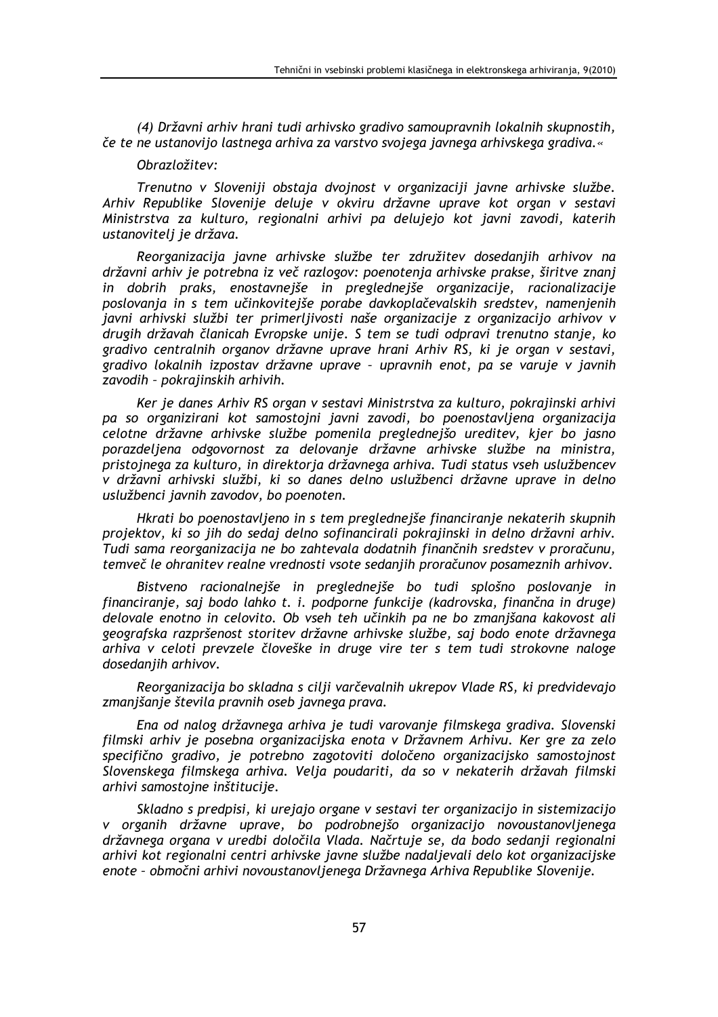(4) Državni arhiv hrani tudi arhivsko gradivo samoupravnih lokalnih skupnostih, če te ne ustanovijo lastnega arhiva za varstvo svojega javnega arhivskega gradiva.«

### Obrazložitev:

Trenutno v Sloveniji obstaja dvojnost v organizaciji javne arhivske službe. Arhiv Republike Slovenije deluje v okviru državne uprave kot organ v sestavi Ministrstva za kulturo, regionalni arhivi pa delujejo kot javni zavodi, katerih ustanovitelj je država.

Reorganizacija javne arhivske službe ter združitev dosedanjih arhivov na državni arhiv je potrebna iz več razlogov: poenotenja arhivske prakse, širitve znanj in dobrih praks, enostavnejše in preglednejše organizacije, racionalizacije poslovanja in s tem učinkovitejše porabe davkoplačevalskih sredstev, namenjenih javni arhivski službi ter primerljivosti naše organizacije z organizacijo arhivov v drugih državah članicah Evropske unije. S tem se tudi odpravi trenutno stanje, ko gradivo centralnih organov državne uprave hrani Arhiv RS, ki je organ v sestavi, gradivo lokalnih izpostav državne uprave - upravnih enot, pa se varuje v javnih zavodih - pokrajinskih arhivih.

Ker je danes Arhiv RS organ v sestavi Ministrstva za kulturo, pokrajinski arhivi pa so organizirani kot samostojni javni zavodi, bo poenostavljena organizacija celotne državne arhivske službe pomenila preglednejšo ureditev, kjer bo jasno porazdeljena odgovornost za delovanje državne arhivske službe na ministra, pristojnega za kulturo, in direktorja državnega arhiva. Tudi status vseh uslužbencev v državni arhivski službi, ki so danes delno uslužbenci državne uprave in delno uslužbenci javnih zavodov, bo poenoten.

Hkrati bo poenostavljeno in s tem preglednejše financiranje nekaterih skupnih projektov, ki so jih do sedaj delno sofinancirali pokrajinski in delno državni arhiv. .<br>Tudi sama reorganizacija ne bo zahtevala dodatnih finančnih sredstev v proračunu. temyeč le ohranitev realne vrednosti vsote sedanijh proračunov posameznih arhivov.

Bistveno racionalnejše in preglednejše bo tudi splošno poslovanje in financiranje, saj bodo lahko t. i. podporne funkcije (kadrovska, finančna in druge) delovale enotno in celovito. Ob vseh teh učinkih pa ne bo zmanjšana kakovost ali geografska razpršenost storitev državne arhivske službe, saj bodo enote državnega arhiva v celoti prevzele človeške in druge vire ter s tem tudi strokovne naloge dosedanjih arhivov.

Reorganizacija bo skladna s cilji varčevalnih ukrepov Vlade RS, ki predvidevajo zmanjšanje števila pravnih oseb javnega prava.

Ena od nalog državnega arhiva je tudi varovanje filmskega gradiva. Slovenski filmski arhiv je posebna organizacijska enota v Državnem Arhivu. Ker gre za zelo specifično gradivo, je potrebno zagotoviti določeno organizacijsko samostojnost Slovenskega filmskega arhiva. Velja poudariti, da so v nekaterih državah filmski arhivi samostojne inštitucije.

Skladno s predpisi, ki urejajo organe v sestavi ter organizacijo in sistemizacijo v organih državne uprave, bo podrobnejšo organizacijo novoustanovljenega državnega organa v uredbi določila Vlada. Načrtuje se, da bodo sedanji regionalni arhivi kot regionalni centri arhivske javne službe nadaljevali delo kot organizacijske enote - območni arhivi novoustanovljenega Državnega Arhiva Republike Slovenije.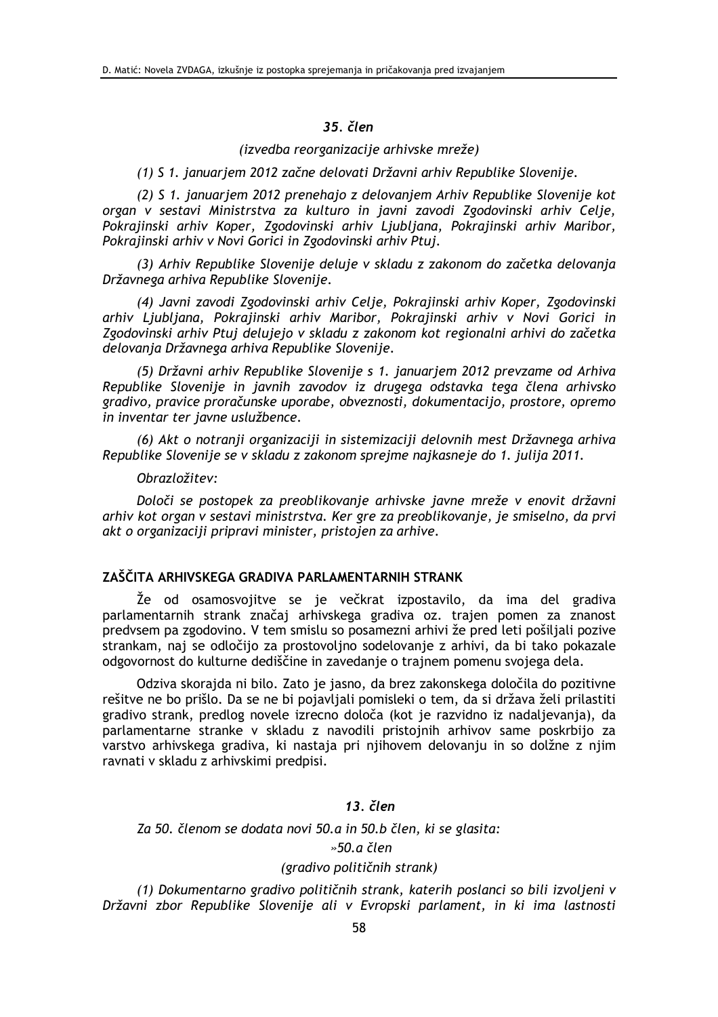# 35. člen

(izvedba reorganizacije arhivske mreže)

(1) S 1. januarjem 2012 začne delovati Državni arhiv Republike Slovenije.

(2) S 1. januarjem 2012 prenehajo z delovanjem Arhiv Republike Slovenije kot organ v sestavi Ministrstva za kulturo in javni zavodi Zgodovinski arhiv Celje, Pokrajinski arhiv Koper, Zgodovinski arhiv Ljubljana, Pokrajinski arhiv Maribor, Pokrajinski arhiv v Novi Gorici in Zgodovinski arhiv Ptuj.

(3) Arhiv Republike Slovenije deluje v skladu z zakonom do začetka delovanja Državnega arhiva Republike Slovenije.

(4) Javni zavodi Zgodovinski arhiv Celje, Pokrajinski arhiv Koper, Zgodovinski arhiv Ljubljana, Pokrajinski arhiv Maribor, Pokrajinski arhiv v Novi Gorici in Zgodovinski arhiv Ptuj delujejo v skladu z zakonom kot regionalni arhivi do začetka delovanja Državnega arhiva Republike Slovenije.

(5) Državni arhiv Republike Slovenije s 1. januarjem 2012 prevzame od Arhiva Republike Slovenije in javnih zavodov iz drugega odstavka tega člena arhivsko gradivo, pravice proračunske uporabe, obveznosti, dokumentacijo, prostore, opremo in inventar ter javne uslužbence.

(6) Akt o notranji organizaciji in sistemizaciji delovnih mest Državnega arhiva Republike Slovenije se v skladu z zakonom sprejme najkasneje do 1. julija 2011.

#### Obrazložitev:

Določi se postopek za preoblikovanje arhivske javne mreže v enovit državni arhiv kot organ v sestavi ministrstva. Ker gre za preoblikovanje, je smiselno, da prvi akt o organizaciji pripravi minister, pristojen za arhive.

# ZAŠČITA ARHIVSKEGA GRADIVA PARI AMENTARNIH STRANK

Že od osamosvojitve se je večkrat izpostavilo, da ima del gradiva parlamentarnih strank značaj arhivskega gradiva oz. trajen pomen za znanost .<br>predvsem pa zgodovino. V tem smislu so posamezni arhivi že pred leti pošiliali pozive strankam, naj se odločijo za prostovoljno sodelovanje z arhivi, da bi tako pokazale odgovornost do kulturne dediščine in zavedanje o trajnem pomenu svojega dela.

Odziva skorajda ni bilo. Zato je jasno, da brez zakonskega določila do pozitivne rešitve ne bo prišlo. Da se ne bi pojavljali pomisleki o tem, da si država želi prilastiti gradivo strank, predlog novele izrecno določa (kot je razvidno iz nadaljevanja), da parlamentarne stranke v skladu z navodili pristojnih arhivov same poskrbijo za varstvo arhivskega gradiva, ki nastaja pri njihovem delovanju in so dolžne z njim ravnati v skladu z arhivskimi predpisi.

### 13. člen

Za 50. členom se dodata novi 50.a in 50.b člen, ki se glasita:

»50.a člen

# (gradivo političnih strank)

(1) Dokumentarno gradivo političnih strank, katerih poslanci so bili izvoljeni v Državni zbor Republike Slovenije ali v Evropski parlament, in ki ima lastnosti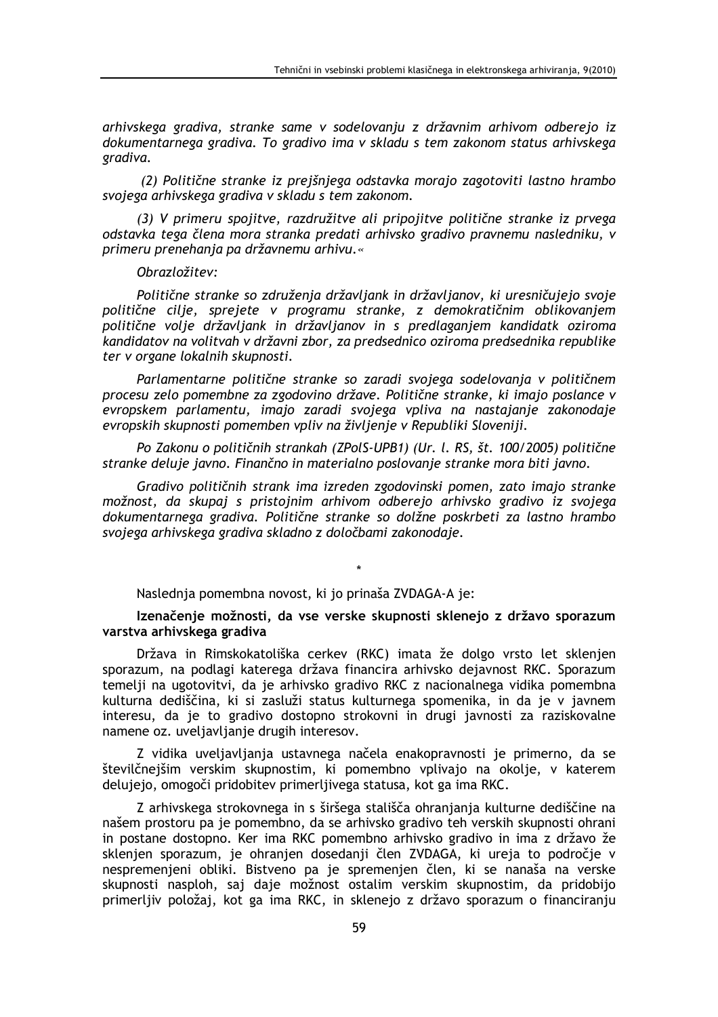arhivskega gradiva, stranke same v sodelovanju z državnim arhivom odberejo iz dokumentarnega gradiva. To gradivo ima v skladu s tem zakonom status arhivskega gradiva.

(2) Politične stranke iz prejšnjega odstavka morajo zagotoviti lastno hrambo svojega arhivskega gradiva v skladu s tem zakonom.

(3) V primeru spojitve, razdružitve ali pripojitve politične stranke iz prvega odstavka tega člena mora stranka predati arhivsko gradivo pravnemu nasledniku, v primeru prenehanja pa državnemu arhivu.«

### Obrazložitev:

Politične stranke so združenja državljank in državljanov, ki uresničujejo svoje politične cilje, sprejete v programu stranke, z demokratičnim oblikovanjem politične volje državljank in državljanov in s predlaganjem kandidatk oziroma kandidatov na volitvah v državni zbor, za predsednico oziroma predsednika republike ter v organe lokalnih skupnosti.

Parlamentarne politične stranke so zaradi svojega sodelovanja v političnem procesu zelo pomembne za zgodovino države. Politične stranke, ki imajo poslance v evropskem parlamentu, imajo zaradi svojega vpliva na nastajanje zakonodaje evropskih skupnosti pomemben vpliv na življenje v Republiki Sloveniji.

Po Zakonu o političnih strankah (ZPolS-UPB1) (Ur. l. RS, št. 100/2005) politične stranke deluje javno. Finančno in materialno poslovanje stranke mora biti javno.

Gradivo političnih strank ima izreden zgodovinski pomen, zato imajo stranke možnost, da skupaj s pristojnim arhivom odberejo arhivsko gradivo iz svojega dokumentarnega gradiva. Politične stranke so dolžne poskrbeti za lastno hrambo svojega arhivskega gradiva skladno z določbami zakonodaje.

Naslednia pomembna novost, ki jo prinaša ZVDAGA-A je:

# Izenačenie možnosti, da vse verske skupnosti sklenejo z državo sporazum varstva arhivskega gradiva

Država in Rimskokatoliška cerkev (RKC) imata že dolgo vrsto let sklenjen sporazum, na podlagi katerega država financira arhivsko dejavnost RKC. Sporazum temelji na ugotovitvi, da je arhivsko gradivo RKC z nacionalnega vidika pomembna kulturna dediščina, ki si zasluži status kulturnega spomenika, in da je v javnem interesu, da je to gradivo dostopno strokovni in drugi javnosti za raziskovalne namene oz. uveljavljanje drugih interesov.

Z vidika uveljavljanja ustavnega načela enakopravnosti je primerno, da se številčnejšim verskim skupnostim, ki pomembno vplivajo na okolje, v katerem delujejo, omogoči pridobitev primerljivega statusa, kot ga ima RKC.

Z arhivskega strokovnega in s širšega stališča ohranjanja kulturne dediščine na našem prostoru pa je pomembno, da se arhivsko gradivo teh verskih skupnosti ohrani in postane dostopno. Ker ima RKC pomembno arhivsko gradivo in ima z državo že sklenjen sporazum, je ohranjen dosedanji člen ZVDAGA, ki ureja to področje v nespremenjeni obliki. Bistveno pa je spremenjen člen, ki se nanaša na verske skupnosti nasploh, saj daje možnost ostalim verskim skupnostim, da pridobijo primerljiv položaj, kot ga ima RKC, in sklenejo z državo sporazum o financiranju